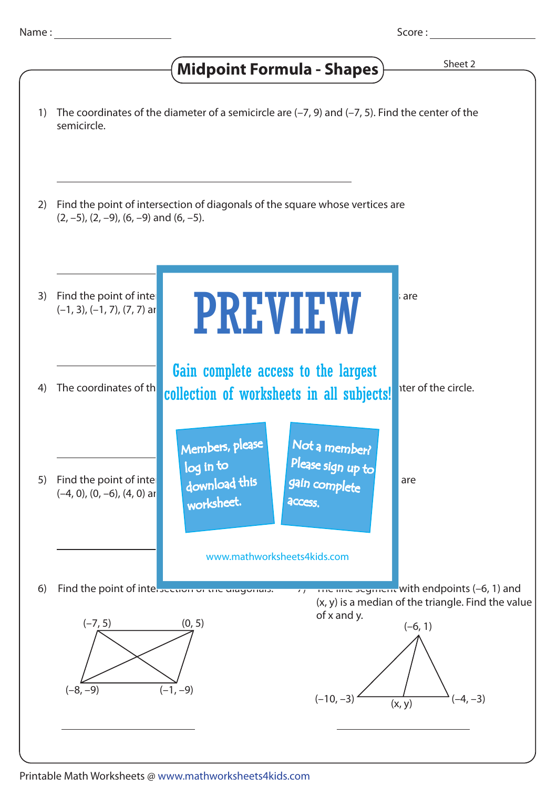